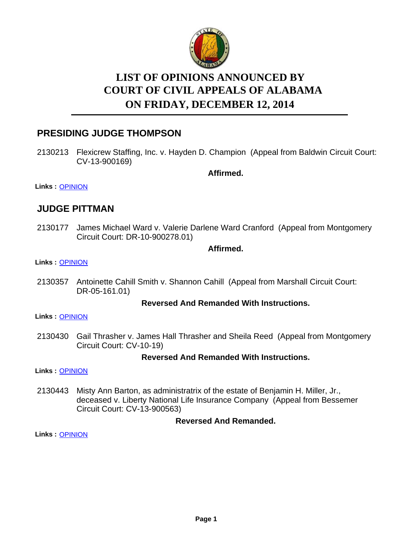

# **LIST OF OPINIONS ANNOUNCED BY ON FRIDAY, DECEMBER 12, 2014 COURT OF CIVIL APPEALS OF ALABAMA**

# **PRESIDING JUDGE THOMPSON**

2130213 Flexicrew Staffing, Inc. v. Hayden D. Champion (Appeal from Baldwin Circuit Court: CV-13-900169)

**Affirmed.**

**Links :** [OPINION](https://acis.alabama.gov/displaydocs.cfm?no=626112&event=48C0JQ0TX)

## **JUDGE PITTMAN**

2130177 James Michael Ward v. Valerie Darlene Ward Cranford (Appeal from Montgomery Circuit Court: DR-10-900278.01)

## **Affirmed.**

#### **Links :** [OPINION](https://acis.alabama.gov/displaydocs.cfm?no=626111&event=48C0JQ089)

2130357 Antoinette Cahill Smith v. Shannon Cahill (Appeal from Marshall Circuit Court: DR-05-161.01)

## **Reversed And Remanded With Instructions.**

**Links :** [OPINION](https://acis.alabama.gov/displaydocs.cfm?no=626113&event=48C0JQ11Q)

2130430 Gail Thrasher v. James Hall Thrasher and Sheila Reed (Appeal from Montgomery Circuit Court: CV-10-19)

## **Reversed And Remanded With Instructions.**

**Links :** [OPINION](https://acis.alabama.gov/displaydocs.cfm?no=626114&event=48C0JQ17T)

Misty Ann Barton, as administratrix of the estate of Benjamin H. Miller, Jr., deceased v. Liberty National Life Insurance Company (Appeal from Bessemer Circuit Court: CV-13-900563) 2130443

## **Reversed And Remanded.**

**Links :** [OPINION](https://acis.alabama.gov/displaydocs.cfm?no=626115&event=48C0JQ1DW)